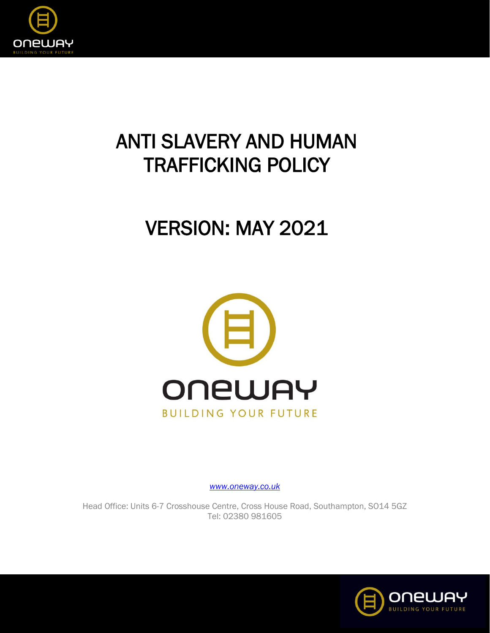

# ANTI SLAVERY AND HUMAN TRAFFICKING POLICY

# VERSION: MAY 2021



*[www.oneway.co.uk](http://www.oneway.co.uk/)*

Head Office: Units 6-7 Crosshouse Centre, Cross House Road, Southampton, SO14 5GZ Tel: 02380 981605

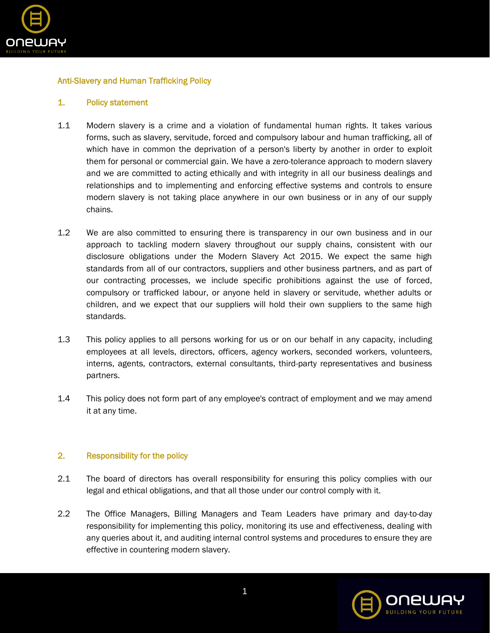

# Anti-Slavery and Human Trafficking Policy

#### 1. Policy statement

- 1.1 Modern slavery is a crime and a violation of fundamental human rights. It takes various forms, such as slavery, servitude, forced and compulsory labour and human trafficking, all of which have in common the deprivation of a person's liberty by another in order to exploit them for personal or commercial gain. We have a zero-tolerance approach to modern slavery and we are committed to acting ethically and with integrity in all our business dealings and relationships and to implementing and enforcing effective systems and controls to ensure modern slavery is not taking place anywhere in our own business or in any of our supply chains.
- 1.2 We are also committed to ensuring there is transparency in our own business and in our approach to tackling modern slavery throughout our supply chains, consistent with our disclosure obligations under the Modern Slavery Act 2015. We expect the same high standards from all of our contractors, suppliers and other business partners, and as part of our contracting processes, we include specific prohibitions against the use of forced, compulsory or trafficked labour, or anyone held in slavery or servitude, whether adults or children, and we expect that our suppliers will hold their own suppliers to the same high standards.
- 1.3 This policy applies to all persons working for us or on our behalf in any capacity, including employees at all levels, directors, officers, agency workers, seconded workers, volunteers, interns, agents, contractors, external consultants, third-party representatives and business partners.
- 1.4 This policy does not form part of any employee's contract of employment and we may amend it at any time.

#### 2. Responsibility for the policy

- 2.1 The board of directors has overall responsibility for ensuring this policy complies with our legal and ethical obligations, and that all those under our control comply with it.
- 2.2 The Office Managers, Billing Managers and Team Leaders have primary and day-to-day responsibility for implementing this policy, monitoring its use and effectiveness, dealing with any queries about it, and auditing internal control systems and procedures to ensure they are effective in countering modern slavery.

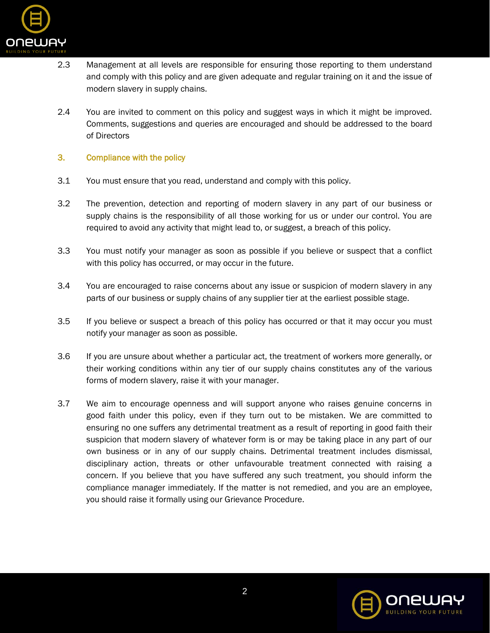

- 2.3 Management at all levels are responsible for ensuring those reporting to them understand and comply with this policy and are given adequate and regular training on it and the issue of modern slavery in supply chains.
- 2.4 You are invited to comment on this policy and suggest ways in which it might be improved. Comments, suggestions and queries are encouraged and should be addressed to the board of Directors

## 3. Compliance with the policy

- 3.1 You must ensure that you read, understand and comply with this policy.
- 3.2 The prevention, detection and reporting of modern slavery in any part of our business or supply chains is the responsibility of all those working for us or under our control. You are required to avoid any activity that might lead to, or suggest, a breach of this policy.
- 3.3 You must notify your manager as soon as possible if you believe or suspect that a conflict with this policy has occurred, or may occur in the future.
- 3.4 You are encouraged to raise concerns about any issue or suspicion of modern slavery in any parts of our business or supply chains of any supplier tier at the earliest possible stage.
- 3.5 If you believe or suspect a breach of this policy has occurred or that it may occur you must notify your manager as soon as possible.
- 3.6 If you are unsure about whether a particular act, the treatment of workers more generally, or their working conditions within any tier of our supply chains constitutes any of the various forms of modern slavery, raise it with your manager.
- 3.7 We aim to encourage openness and will support anyone who raises genuine concerns in good faith under this policy, even if they turn out to be mistaken. We are committed to ensuring no one suffers any detrimental treatment as a result of reporting in good faith their suspicion that modern slavery of whatever form is or may be taking place in any part of our own business or in any of our supply chains. Detrimental treatment includes dismissal, disciplinary action, threats or other unfavourable treatment connected with raising a concern. If you believe that you have suffered any such treatment, you should inform the compliance manager immediately. If the matter is not remedied, and you are an employee, you should raise it formally using our Grievance Procedure.